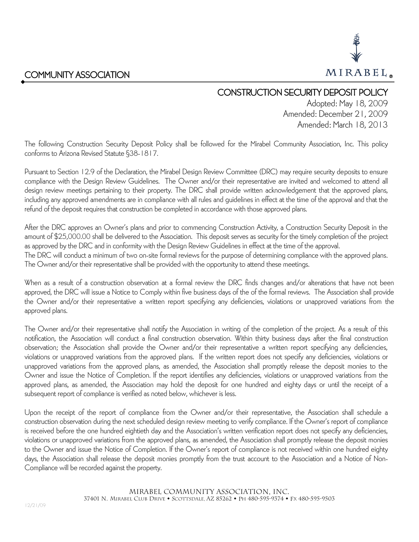

## CONSTRUCTION SECURITY DEPOSIT POLICY

Adopted: May 18, 2009 Amended: December 21, 2009 Amended: March 18, 2013

The following Construction Security Deposit Policy shall be followed for the Mirabel Community Association, Inc. This policy conforms to Arizona Revised Statute §38-1817.

Pursuant to Section 12.9 of the Declaration, the Mirabel Design Review Committee (DRC) may require security deposits to ensure compliance with the Design Review Guidelines. The Owner and/or their representative are invited and welcomed to attend all design review meetings pertaining to their property. The DRC shall provide written acknowledgement that the approved plans, including any approved amendments are in compliance with all rules and guidelines in effect at the time of the approval and that the refund of the deposit requires that construction be completed in accordance with those approved plans.

After the DRC approves an Owner's plans and prior to commencing Construction Activity, a Construction Security Deposit in the amount of \$25,000.00 shall be delivered to the Association. This deposit serves as security for the timely completion of the project as approved by the DRC and in conformity with the Design Review Guidelines in effect at the time of the approval.

The DRC will conduct a minimum of two on-site formal reviews for the purpose of determining compliance with the approved plans. The Owner and/or their representative shall be provided with the opportunity to attend these meetings.

When as a result of a construction observation at a formal review the DRC finds changes and/or alterations that have not been approved, the DRC will issue a Notice to Comply within five business days of the of the formal reviews. The Association shall provide the Owner and/or their representative a written report specifying any deficiencies, violations or unapproved variations from the approved plans.

The Owner and/or their representative shall notify the Association in writing of the completion of the project. As a result of this notification, the Association will conduct a final construction observation. Within thirty business days after the final construction observation; the Association shall provide the Owner and/or their representative a written report specifying any deficiencies, violations or unapproved variations from the approved plans. If the written report does not specify any deficiencies, violations or unapproved variations from the approved plans, as amended, the Association shall promptly release the deposit monies to the Owner and issue the Notice of Completion. If the report identifies any deficiencies, violations or unapproved variations from the approved plans, as amended, the Association may hold the deposit for one hundred and eighty days or until the receipt of a subsequent report of compliance is verified as noted below, whichever is less.

Upon the receipt of the report of compliance from the Owner and/or their representative, the Association shall schedule a construction observation during the next scheduled design review meeting to verify compliance. If the Owner's report of compliance is received before the one hundred eightieth day and the Association's written verification report does not specify any deficiencies, violations or unapproved variations from the approved plans, as amended, the Association shall promptly release the deposit monies to the Owner and issue the Notice of Completion. If the Owner's report of compliance is not received within one hundred eighty days, the Association shall release the deposit monies promptly from the trust account to the Association and a Notice of Non-Compliance will be recorded against the property.